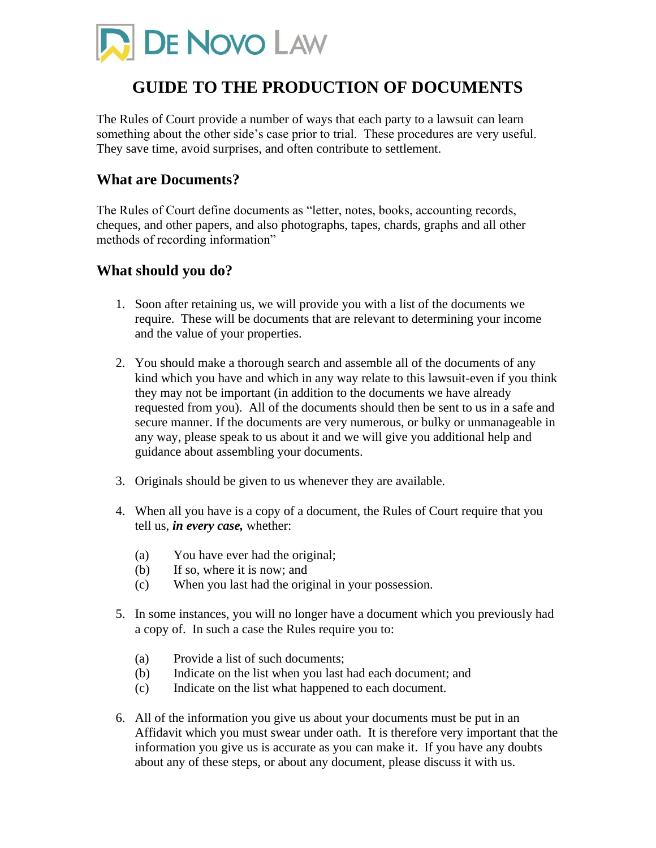

# **GUIDE TO THE PRODUCTION OF DOCUMENTS**

The Rules of Court provide a number of ways that each party to a lawsuit can learn something about the other side's case prior to trial. These procedures are very useful. They save time, avoid surprises, and often contribute to settlement.

### **What are Documents?**

The Rules of Court define documents as "letter, notes, books, accounting records, cheques, and other papers, and also photographs, tapes, chards, graphs and all other methods of recording information"

### **What should you do?**

- 1. Soon after retaining us, we will provide you with a list of the documents we require. These will be documents that are relevant to determining your income and the value of your properties.
- 2. You should make a thorough search and assemble all of the documents of any kind which you have and which in any way relate to this lawsuit-even if you think they may not be important (in addition to the documents we have already requested from you). All of the documents should then be sent to us in a safe and secure manner. If the documents are very numerous, or bulky or unmanageable in any way, please speak to us about it and we will give you additional help and guidance about assembling your documents.
- 3. Originals should be given to us whenever they are available.
- 4. When all you have is a copy of a document, the Rules of Court require that you tell us, *in every case,* whether:
	- (a) You have ever had the original;
	- (b) If so, where it is now; and
	- (c) When you last had the original in your possession.
- 5. In some instances, you will no longer have a document which you previously had a copy of. In such a case the Rules require you to:
	- (a) Provide a list of such documents;
	- (b) Indicate on the list when you last had each document; and
	- (c) Indicate on the list what happened to each document.
- 6. All of the information you give us about your documents must be put in an Affidavit which you must swear under oath. It is therefore very important that the information you give us is accurate as you can make it. If you have any doubts about any of these steps, or about any document, please discuss it with us.